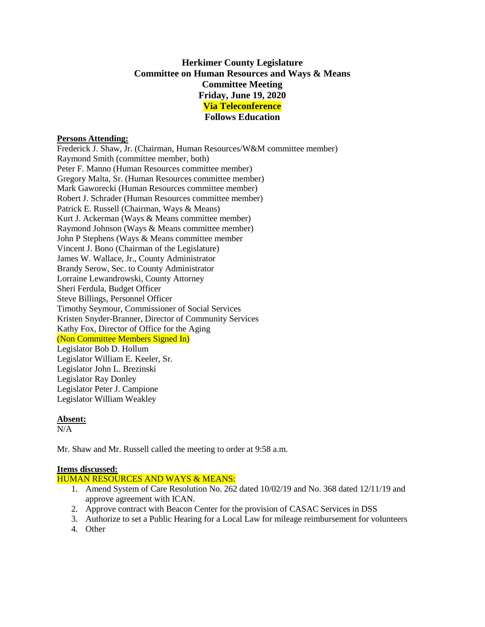# **Herkimer County Legislature Committee on Human Resources and Ways & Means Committee Meeting Friday, June 19, 2020 Via Teleconference Follows Education**

## **Persons Attending:**

Frederick J. Shaw, Jr. (Chairman, Human Resources/W&M committee member) Raymond Smith (committee member, both) Peter F. Manno (Human Resources committee member) Gregory Malta, Sr. (Human Resources committee member) Mark Gaworecki (Human Resources committee member) Robert J. Schrader (Human Resources committee member) Patrick E. Russell (Chairman, Ways & Means) Kurt J. Ackerman (Ways & Means committee member) Raymond Johnson (Ways & Means committee member) John P Stephens (Ways & Means committee member Vincent J. Bono (Chairman of the Legislature) James W. Wallace, Jr., County Administrator Brandy Serow, Sec. to County Administrator Lorraine Lewandrowski, County Attorney Sheri Ferdula, Budget Officer Steve Billings, Personnel Officer Timothy Seymour, Commissioner of Social Services Kristen Snyder-Branner, Director of Community Services Kathy Fox, Director of Office for the Aging (Non Committee Members Signed In) Legislator Bob D. Hollum Legislator William E. Keeler, Sr. Legislator John L. Brezinski Legislator Ray Donley Legislator Peter J. Campione Legislator William Weakley

## **Absent:**

 $N/A$ 

Mr. Shaw and Mr. Russell called the meeting to order at 9:58 a.m.

## **Items discussed:**

HUMAN RESOURCES AND WAYS & MEANS:

- 1. Amend System of Care Resolution No. 262 dated 10/02/19 and No. 368 dated 12/11/19 and approve agreement with ICAN.
- 2. Approve contract with Beacon Center for the provision of CASAC Services in DSS
- 3. Authorize to set a Public Hearing for a Local Law for mileage reimbursement for volunteers
- 4. Other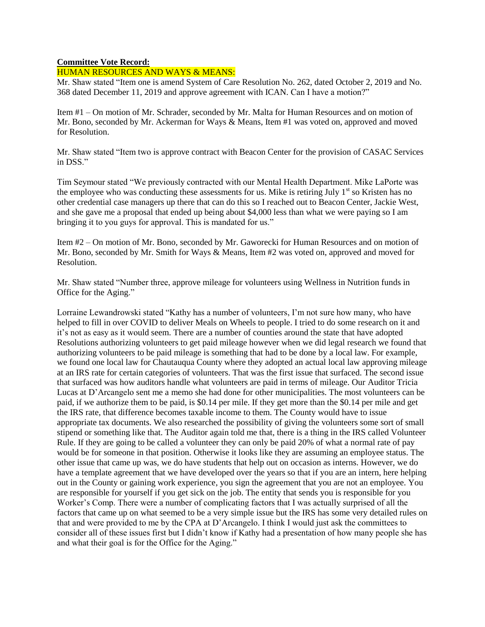#### **Committee Vote Record:**

#### HUMAN RESOURCES AND WAYS & MEANS:

Mr. Shaw stated "Item one is amend System of Care Resolution No. 262, dated October 2, 2019 and No. 368 dated December 11, 2019 and approve agreement with ICAN. Can I have a motion?"

Item #1 – On motion of Mr. Schrader, seconded by Mr. Malta for Human Resources and on motion of Mr. Bono, seconded by Mr. Ackerman for Ways & Means, Item #1 was voted on, approved and moved for Resolution.

Mr. Shaw stated "Item two is approve contract with Beacon Center for the provision of CASAC Services in DSS."

Tim Seymour stated "We previously contracted with our Mental Health Department. Mike LaPorte was the employee who was conducting these assessments for us. Mike is retiring July  $1<sup>st</sup>$  so Kristen has no other credential case managers up there that can do this so I reached out to Beacon Center, Jackie West, and she gave me a proposal that ended up being about \$4,000 less than what we were paying so I am bringing it to you guys for approval. This is mandated for us."

Item #2 – On motion of Mr. Bono, seconded by Mr. Gaworecki for Human Resources and on motion of Mr. Bono, seconded by Mr. Smith for Ways & Means, Item #2 was voted on, approved and moved for Resolution.

Mr. Shaw stated "Number three, approve mileage for volunteers using Wellness in Nutrition funds in Office for the Aging."

Lorraine Lewandrowski stated "Kathy has a number of volunteers, I'm not sure how many, who have helped to fill in over COVID to deliver Meals on Wheels to people. I tried to do some research on it and it's not as easy as it would seem. There are a number of counties around the state that have adopted Resolutions authorizing volunteers to get paid mileage however when we did legal research we found that authorizing volunteers to be paid mileage is something that had to be done by a local law. For example, we found one local law for Chautauqua County where they adopted an actual local law approving mileage at an IRS rate for certain categories of volunteers. That was the first issue that surfaced. The second issue that surfaced was how auditors handle what volunteers are paid in terms of mileage. Our Auditor Tricia Lucas at D'Arcangelo sent me a memo she had done for other municipalities. The most volunteers can be paid, if we authorize them to be paid, is \$0.14 per mile. If they get more than the \$0.14 per mile and get the IRS rate, that difference becomes taxable income to them. The County would have to issue appropriate tax documents. We also researched the possibility of giving the volunteers some sort of small stipend or something like that. The Auditor again told me that, there is a thing in the IRS called Volunteer Rule. If they are going to be called a volunteer they can only be paid 20% of what a normal rate of pay would be for someone in that position. Otherwise it looks like they are assuming an employee status. The other issue that came up was, we do have students that help out on occasion as interns. However, we do have a template agreement that we have developed over the years so that if you are an intern, here helping out in the County or gaining work experience, you sign the agreement that you are not an employee. You are responsible for yourself if you get sick on the job. The entity that sends you is responsible for you Worker's Comp. There were a number of complicating factors that I was actually surprised of all the factors that came up on what seemed to be a very simple issue but the IRS has some very detailed rules on that and were provided to me by the CPA at D'Arcangelo. I think I would just ask the committees to consider all of these issues first but I didn't know if Kathy had a presentation of how many people she has and what their goal is for the Office for the Aging."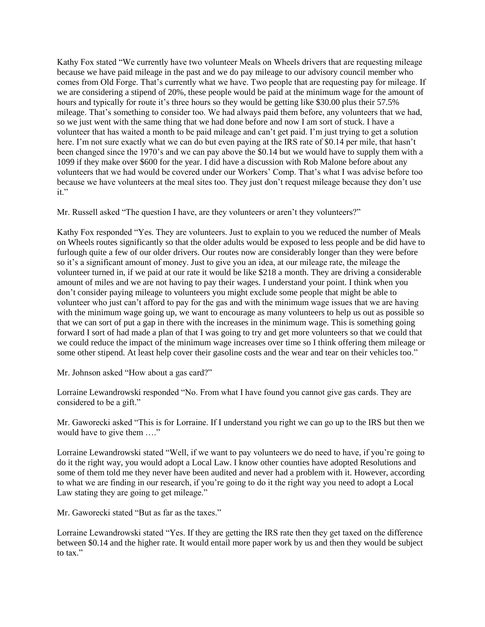Kathy Fox stated "We currently have two volunteer Meals on Wheels drivers that are requesting mileage because we have paid mileage in the past and we do pay mileage to our advisory council member who comes from Old Forge. That's currently what we have. Two people that are requesting pay for mileage. If we are considering a stipend of 20%, these people would be paid at the minimum wage for the amount of hours and typically for route it's three hours so they would be getting like \$30.00 plus their 57.5% mileage. That's something to consider too. We had always paid them before, any volunteers that we had, so we just went with the same thing that we had done before and now I am sort of stuck. I have a volunteer that has waited a month to be paid mileage and can't get paid. I'm just trying to get a solution here. I'm not sure exactly what we can do but even paying at the IRS rate of \$0.14 per mile, that hasn't been changed since the 1970's and we can pay above the \$0.14 but we would have to supply them with a 1099 if they make over \$600 for the year. I did have a discussion with Rob Malone before about any volunteers that we had would be covered under our Workers' Comp. That's what I was advise before too because we have volunteers at the meal sites too. They just don't request mileage because they don't use it."

Mr. Russell asked "The question I have, are they volunteers or aren't they volunteers?"

Kathy Fox responded "Yes. They are volunteers. Just to explain to you we reduced the number of Meals on Wheels routes significantly so that the older adults would be exposed to less people and be did have to furlough quite a few of our older drivers. Our routes now are considerably longer than they were before so it's a significant amount of money. Just to give you an idea, at our mileage rate, the mileage the volunteer turned in, if we paid at our rate it would be like \$218 a month. They are driving a considerable amount of miles and we are not having to pay their wages. I understand your point. I think when you don't consider paying mileage to volunteers you might exclude some people that might be able to volunteer who just can't afford to pay for the gas and with the minimum wage issues that we are having with the minimum wage going up, we want to encourage as many volunteers to help us out as possible so that we can sort of put a gap in there with the increases in the minimum wage. This is something going forward I sort of had made a plan of that I was going to try and get more volunteers so that we could that we could reduce the impact of the minimum wage increases over time so I think offering them mileage or some other stipend. At least help cover their gasoline costs and the wear and tear on their vehicles too."

Mr. Johnson asked "How about a gas card?"

Lorraine Lewandrowski responded "No. From what I have found you cannot give gas cards. They are considered to be a gift."

Mr. Gaworecki asked "This is for Lorraine. If I understand you right we can go up to the IRS but then we would have to give them …."

Lorraine Lewandrowski stated "Well, if we want to pay volunteers we do need to have, if you're going to do it the right way, you would adopt a Local Law. I know other counties have adopted Resolutions and some of them told me they never have been audited and never had a problem with it. However, according to what we are finding in our research, if you're going to do it the right way you need to adopt a Local Law stating they are going to get mileage."

Mr. Gaworecki stated "But as far as the taxes."

Lorraine Lewandrowski stated "Yes. If they are getting the IRS rate then they get taxed on the difference between \$0.14 and the higher rate. It would entail more paper work by us and then they would be subject to tax."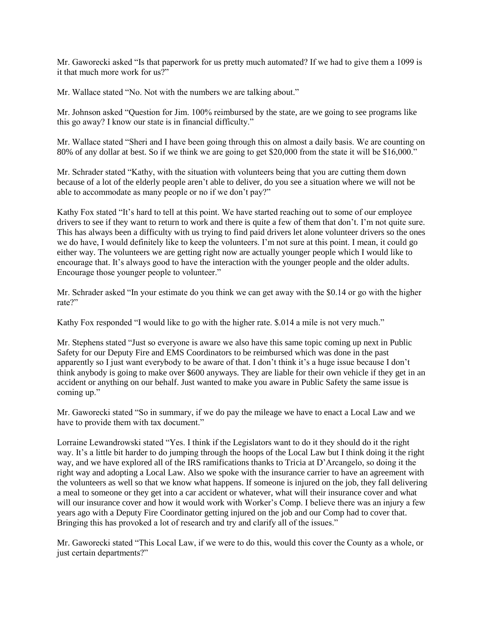Mr. Gaworecki asked "Is that paperwork for us pretty much automated? If we had to give them a 1099 is it that much more work for us?"

Mr. Wallace stated "No. Not with the numbers we are talking about."

Mr. Johnson asked "Question for Jim. 100% reimbursed by the state, are we going to see programs like this go away? I know our state is in financial difficulty."

Mr. Wallace stated "Sheri and I have been going through this on almost a daily basis. We are counting on 80% of any dollar at best. So if we think we are going to get \$20,000 from the state it will be \$16,000."

Mr. Schrader stated "Kathy, with the situation with volunteers being that you are cutting them down because of a lot of the elderly people aren't able to deliver, do you see a situation where we will not be able to accommodate as many people or no if we don't pay?"

Kathy Fox stated "It's hard to tell at this point. We have started reaching out to some of our employee drivers to see if they want to return to work and there is quite a few of them that don't. I'm not quite sure. This has always been a difficulty with us trying to find paid drivers let alone volunteer drivers so the ones we do have, I would definitely like to keep the volunteers. I'm not sure at this point. I mean, it could go either way. The volunteers we are getting right now are actually younger people which I would like to encourage that. It's always good to have the interaction with the younger people and the older adults. Encourage those younger people to volunteer."

Mr. Schrader asked "In your estimate do you think we can get away with the \$0.14 or go with the higher rate?"

Kathy Fox responded "I would like to go with the higher rate. \$.014 a mile is not very much."

Mr. Stephens stated "Just so everyone is aware we also have this same topic coming up next in Public Safety for our Deputy Fire and EMS Coordinators to be reimbursed which was done in the past apparently so I just want everybody to be aware of that. I don't think it's a huge issue because I don't think anybody is going to make over \$600 anyways. They are liable for their own vehicle if they get in an accident or anything on our behalf. Just wanted to make you aware in Public Safety the same issue is coming up."

Mr. Gaworecki stated "So in summary, if we do pay the mileage we have to enact a Local Law and we have to provide them with tax document."

Lorraine Lewandrowski stated "Yes. I think if the Legislators want to do it they should do it the right way. It's a little bit harder to do jumping through the hoops of the Local Law but I think doing it the right way, and we have explored all of the IRS ramifications thanks to Tricia at D'Arcangelo, so doing it the right way and adopting a Local Law. Also we spoke with the insurance carrier to have an agreement with the volunteers as well so that we know what happens. If someone is injured on the job, they fall delivering a meal to someone or they get into a car accident or whatever, what will their insurance cover and what will our insurance cover and how it would work with Worker's Comp. I believe there was an injury a few years ago with a Deputy Fire Coordinator getting injured on the job and our Comp had to cover that. Bringing this has provoked a lot of research and try and clarify all of the issues."

Mr. Gaworecki stated "This Local Law, if we were to do this, would this cover the County as a whole, or just certain departments?"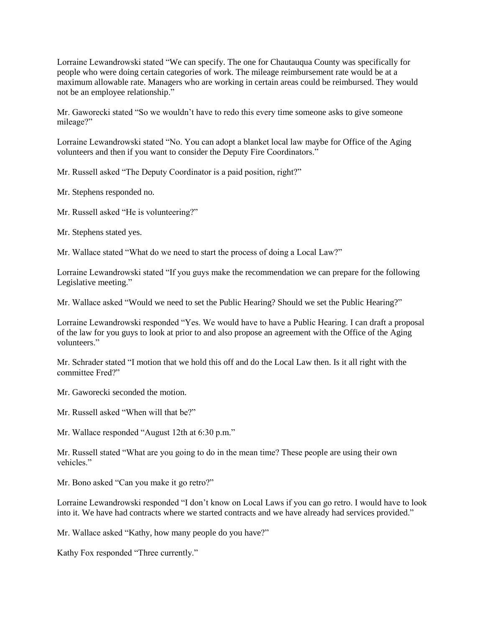Lorraine Lewandrowski stated "We can specify. The one for Chautauqua County was specifically for people who were doing certain categories of work. The mileage reimbursement rate would be at a maximum allowable rate. Managers who are working in certain areas could be reimbursed. They would not be an employee relationship."

Mr. Gaworecki stated "So we wouldn't have to redo this every time someone asks to give someone mileage?"

Lorraine Lewandrowski stated "No. You can adopt a blanket local law maybe for Office of the Aging volunteers and then if you want to consider the Deputy Fire Coordinators."

Mr. Russell asked "The Deputy Coordinator is a paid position, right?"

Mr. Stephens responded no.

Mr. Russell asked "He is volunteering?"

Mr. Stephens stated yes.

Mr. Wallace stated "What do we need to start the process of doing a Local Law?"

Lorraine Lewandrowski stated "If you guys make the recommendation we can prepare for the following Legislative meeting."

Mr. Wallace asked "Would we need to set the Public Hearing? Should we set the Public Hearing?"

Lorraine Lewandrowski responded "Yes. We would have to have a Public Hearing. I can draft a proposal of the law for you guys to look at prior to and also propose an agreement with the Office of the Aging volunteers."

Mr. Schrader stated "I motion that we hold this off and do the Local Law then. Is it all right with the committee Fred?"

Mr. Gaworecki seconded the motion.

Mr. Russell asked "When will that be?"

Mr. Wallace responded "August 12th at 6:30 p.m."

Mr. Russell stated "What are you going to do in the mean time? These people are using their own vehicles."

Mr. Bono asked "Can you make it go retro?"

Lorraine Lewandrowski responded "I don't know on Local Laws if you can go retro. I would have to look into it. We have had contracts where we started contracts and we have already had services provided."

Mr. Wallace asked "Kathy, how many people do you have?"

Kathy Fox responded "Three currently."